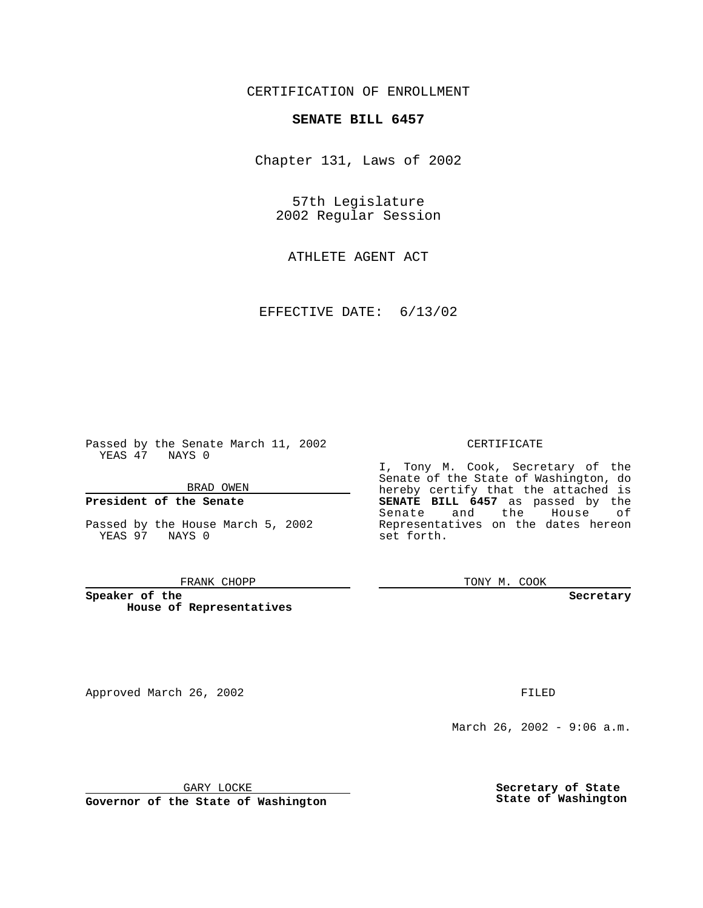## CERTIFICATION OF ENROLLMENT

# **SENATE BILL 6457**

Chapter 131, Laws of 2002

57th Legislature 2002 Regular Session

ATHLETE AGENT ACT

EFFECTIVE DATE: 6/13/02

Passed by the Senate March 11, 2002 YEAS 47 NAYS 0

#### BRAD OWEN

### **President of the Senate**

Passed by the House March 5, 2002 YEAS 97 NAYS 0

#### FRANK CHOPP

**Speaker of the House of Representatives**

Approved March 26, 2002 **FILED** 

#### CERTIFICATE

I, Tony M. Cook, Secretary of the Senate of the State of Washington, do hereby certify that the attached is **SENATE BILL 6457** as passed by the Senate and the House of Representatives on the dates hereon set forth.

TONY M. COOK

**Secretary**

March 26, 2002 - 9:06 a.m.

GARY LOCKE

**Governor of the State of Washington**

**Secretary of State State of Washington**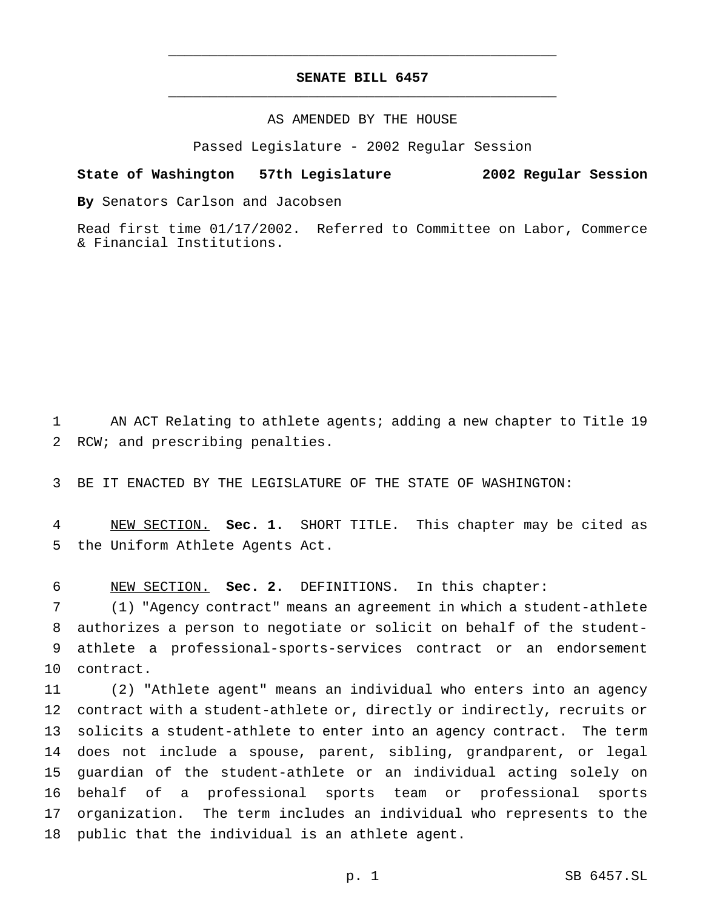# **SENATE BILL 6457** \_\_\_\_\_\_\_\_\_\_\_\_\_\_\_\_\_\_\_\_\_\_\_\_\_\_\_\_\_\_\_\_\_\_\_\_\_\_\_\_\_\_\_\_\_\_\_

\_\_\_\_\_\_\_\_\_\_\_\_\_\_\_\_\_\_\_\_\_\_\_\_\_\_\_\_\_\_\_\_\_\_\_\_\_\_\_\_\_\_\_\_\_\_\_

### AS AMENDED BY THE HOUSE

Passed Legislature - 2002 Regular Session

#### **State of Washington 57th Legislature 2002 Regular Session**

**By** Senators Carlson and Jacobsen

Read first time 01/17/2002. Referred to Committee on Labor, Commerce & Financial Institutions.

 AN ACT Relating to athlete agents; adding a new chapter to Title 19 RCW; and prescribing penalties.

BE IT ENACTED BY THE LEGISLATURE OF THE STATE OF WASHINGTON:

 NEW SECTION. **Sec. 1.** SHORT TITLE. This chapter may be cited as the Uniform Athlete Agents Act.

NEW SECTION. **Sec. 2.** DEFINITIONS. In this chapter:

 (1) "Agency contract" means an agreement in which a student-athlete authorizes a person to negotiate or solicit on behalf of the student- athlete a professional-sports-services contract or an endorsement contract.

 (2) "Athlete agent" means an individual who enters into an agency contract with a student-athlete or, directly or indirectly, recruits or solicits a student-athlete to enter into an agency contract. The term does not include a spouse, parent, sibling, grandparent, or legal guardian of the student-athlete or an individual acting solely on behalf of a professional sports team or professional sports organization. The term includes an individual who represents to the public that the individual is an athlete agent.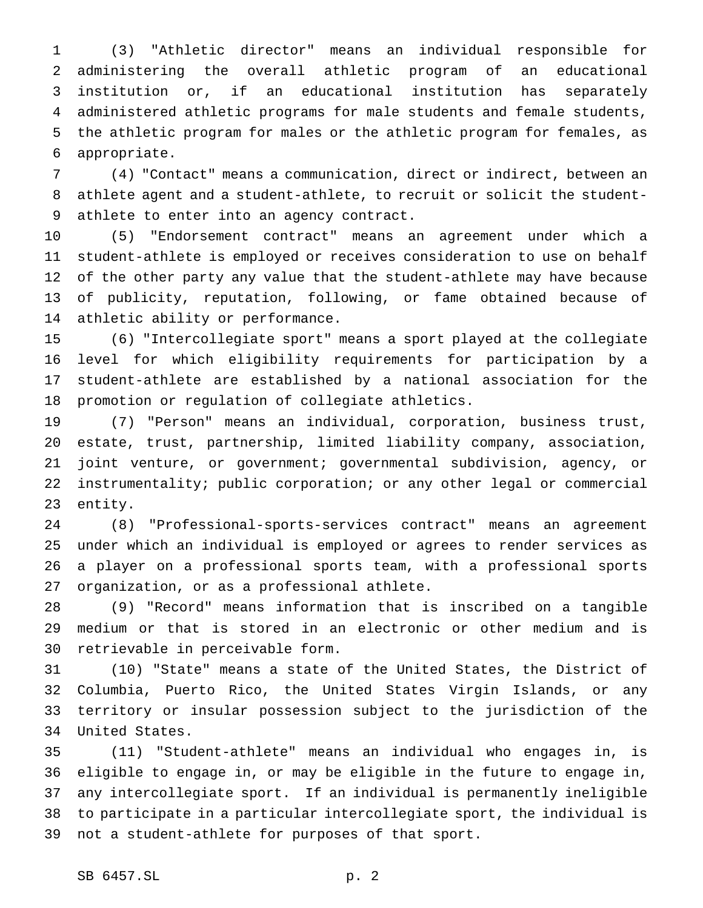(3) "Athletic director" means an individual responsible for administering the overall athletic program of an educational institution or, if an educational institution has separately administered athletic programs for male students and female students, the athletic program for males or the athletic program for females, as appropriate.

 (4) "Contact" means a communication, direct or indirect, between an athlete agent and a student-athlete, to recruit or solicit the student-athlete to enter into an agency contract.

 (5) "Endorsement contract" means an agreement under which a student-athlete is employed or receives consideration to use on behalf of the other party any value that the student-athlete may have because of publicity, reputation, following, or fame obtained because of athletic ability or performance.

 (6) "Intercollegiate sport" means a sport played at the collegiate level for which eligibility requirements for participation by a student-athlete are established by a national association for the promotion or regulation of collegiate athletics.

 (7) "Person" means an individual, corporation, business trust, estate, trust, partnership, limited liability company, association, joint venture, or government; governmental subdivision, agency, or instrumentality; public corporation; or any other legal or commercial entity.

 (8) "Professional-sports-services contract" means an agreement under which an individual is employed or agrees to render services as a player on a professional sports team, with a professional sports organization, or as a professional athlete.

 (9) "Record" means information that is inscribed on a tangible medium or that is stored in an electronic or other medium and is retrievable in perceivable form.

 (10) "State" means a state of the United States, the District of Columbia, Puerto Rico, the United States Virgin Islands, or any territory or insular possession subject to the jurisdiction of the United States.

 (11) "Student-athlete" means an individual who engages in, is eligible to engage in, or may be eligible in the future to engage in, any intercollegiate sport. If an individual is permanently ineligible to participate in a particular intercollegiate sport, the individual is not a student-athlete for purposes of that sport.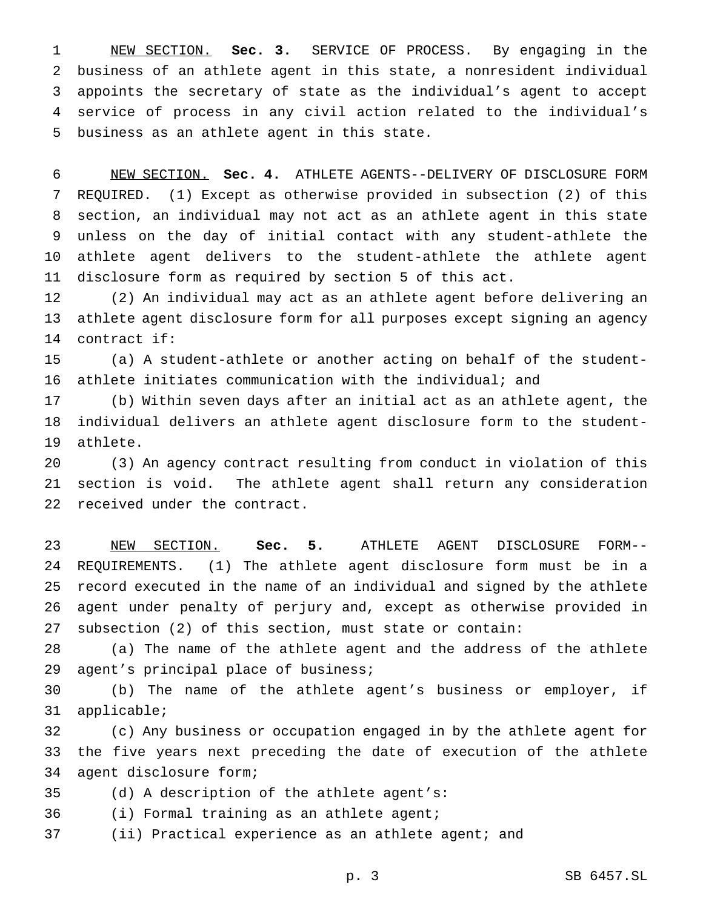NEW SECTION. **Sec. 3.** SERVICE OF PROCESS. By engaging in the business of an athlete agent in this state, a nonresident individual appoints the secretary of state as the individual's agent to accept service of process in any civil action related to the individual's business as an athlete agent in this state.

 NEW SECTION. **Sec. 4.** ATHLETE AGENTS--DELIVERY OF DISCLOSURE FORM REQUIRED. (1) Except as otherwise provided in subsection (2) of this section, an individual may not act as an athlete agent in this state unless on the day of initial contact with any student-athlete the athlete agent delivers to the student-athlete the athlete agent disclosure form as required by section 5 of this act.

 (2) An individual may act as an athlete agent before delivering an athlete agent disclosure form for all purposes except signing an agency contract if:

 (a) A student-athlete or another acting on behalf of the student-athlete initiates communication with the individual; and

 (b) Within seven days after an initial act as an athlete agent, the individual delivers an athlete agent disclosure form to the student-athlete.

 (3) An agency contract resulting from conduct in violation of this section is void. The athlete agent shall return any consideration received under the contract.

 NEW SECTION. **Sec. 5.** ATHLETE AGENT DISCLOSURE FORM-- REQUIREMENTS. (1) The athlete agent disclosure form must be in a record executed in the name of an individual and signed by the athlete agent under penalty of perjury and, except as otherwise provided in subsection (2) of this section, must state or contain:

 (a) The name of the athlete agent and the address of the athlete agent's principal place of business;

 (b) The name of the athlete agent's business or employer, if applicable;

 (c) Any business or occupation engaged in by the athlete agent for the five years next preceding the date of execution of the athlete agent disclosure form;

(d) A description of the athlete agent's:

(i) Formal training as an athlete agent;

(ii) Practical experience as an athlete agent; and

p. 3 SB 6457.SL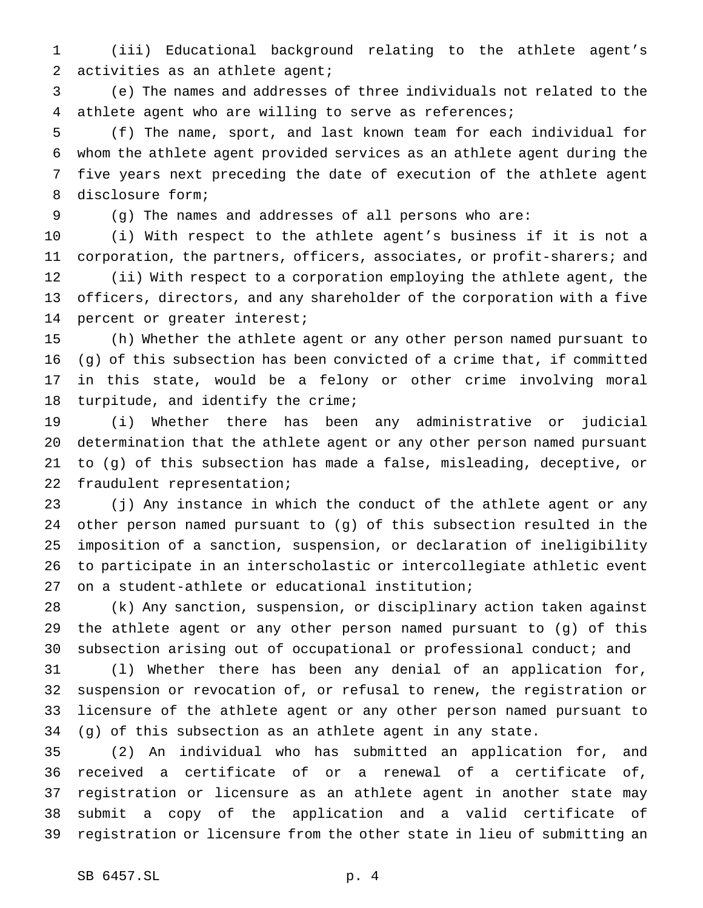(iii) Educational background relating to the athlete agent's activities as an athlete agent;

 (e) The names and addresses of three individuals not related to the athlete agent who are willing to serve as references;

 (f) The name, sport, and last known team for each individual for whom the athlete agent provided services as an athlete agent during the five years next preceding the date of execution of the athlete agent disclosure form;

(g) The names and addresses of all persons who are:

 (i) With respect to the athlete agent's business if it is not a corporation, the partners, officers, associates, or profit-sharers; and (ii) With respect to a corporation employing the athlete agent, the officers, directors, and any shareholder of the corporation with a five percent or greater interest;

 (h) Whether the athlete agent or any other person named pursuant to (g) of this subsection has been convicted of a crime that, if committed in this state, would be a felony or other crime involving moral turpitude, and identify the crime;

 (i) Whether there has been any administrative or judicial determination that the athlete agent or any other person named pursuant to (g) of this subsection has made a false, misleading, deceptive, or fraudulent representation;

 (j) Any instance in which the conduct of the athlete agent or any other person named pursuant to (g) of this subsection resulted in the imposition of a sanction, suspension, or declaration of ineligibility to participate in an interscholastic or intercollegiate athletic event on a student-athlete or educational institution;

 (k) Any sanction, suspension, or disciplinary action taken against the athlete agent or any other person named pursuant to (g) of this subsection arising out of occupational or professional conduct; and

 (l) Whether there has been any denial of an application for, suspension or revocation of, or refusal to renew, the registration or licensure of the athlete agent or any other person named pursuant to (g) of this subsection as an athlete agent in any state.

 (2) An individual who has submitted an application for, and received a certificate of or a renewal of a certificate of, registration or licensure as an athlete agent in another state may submit a copy of the application and a valid certificate of registration or licensure from the other state in lieu of submitting an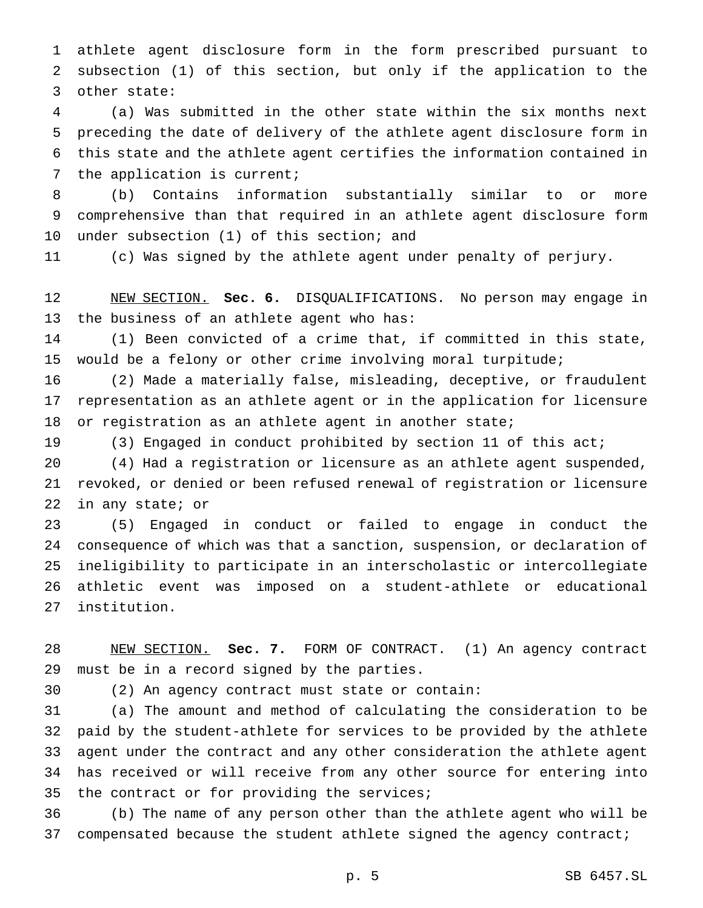athlete agent disclosure form in the form prescribed pursuant to subsection (1) of this section, but only if the application to the other state:

 (a) Was submitted in the other state within the six months next preceding the date of delivery of the athlete agent disclosure form in this state and the athlete agent certifies the information contained in the application is current;

 (b) Contains information substantially similar to or more comprehensive than that required in an athlete agent disclosure form under subsection (1) of this section; and

(c) Was signed by the athlete agent under penalty of perjury.

 NEW SECTION. **Sec. 6.** DISQUALIFICATIONS. No person may engage in the business of an athlete agent who has:

 (1) Been convicted of a crime that, if committed in this state, would be a felony or other crime involving moral turpitude;

 (2) Made a materially false, misleading, deceptive, or fraudulent representation as an athlete agent or in the application for licensure or registration as an athlete agent in another state;

(3) Engaged in conduct prohibited by section 11 of this act;

 (4) Had a registration or licensure as an athlete agent suspended, revoked, or denied or been refused renewal of registration or licensure in any state; or

 (5) Engaged in conduct or failed to engage in conduct the consequence of which was that a sanction, suspension, or declaration of ineligibility to participate in an interscholastic or intercollegiate athletic event was imposed on a student-athlete or educational institution.

 NEW SECTION. **Sec. 7.** FORM OF CONTRACT. (1) An agency contract must be in a record signed by the parties.

(2) An agency contract must state or contain:

 (a) The amount and method of calculating the consideration to be paid by the student-athlete for services to be provided by the athlete agent under the contract and any other consideration the athlete agent has received or will receive from any other source for entering into the contract or for providing the services;

 (b) The name of any person other than the athlete agent who will be 37 compensated because the student athlete signed the agency contract;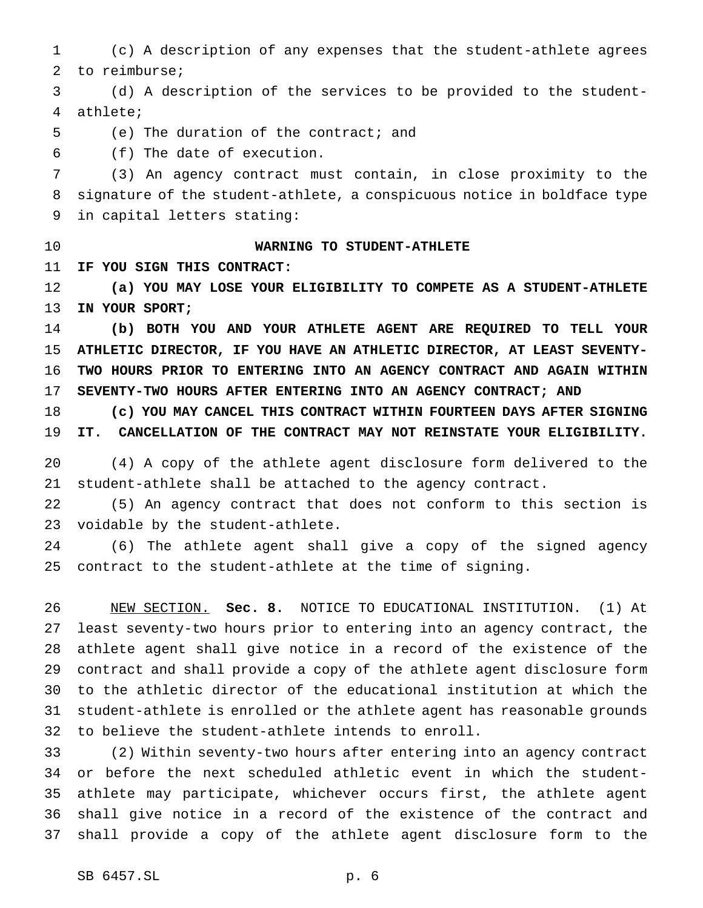(c) A description of any expenses that the student-athlete agrees to reimburse;

 (d) A description of the services to be provided to the student-athlete;

(e) The duration of the contract; and

(f) The date of execution.

 (3) An agency contract must contain, in close proximity to the signature of the student-athlete, a conspicuous notice in boldface type in capital letters stating:

## **WARNING TO STUDENT-ATHLETE**

**IF YOU SIGN THIS CONTRACT:**

 **(a) YOU MAY LOSE YOUR ELIGIBILITY TO COMPETE AS A STUDENT-ATHLETE IN YOUR SPORT;**

 **(b) BOTH YOU AND YOUR ATHLETE AGENT ARE REQUIRED TO TELL YOUR ATHLETIC DIRECTOR, IF YOU HAVE AN ATHLETIC DIRECTOR, AT LEAST SEVENTY- TWO HOURS PRIOR TO ENTERING INTO AN AGENCY CONTRACT AND AGAIN WITHIN SEVENTY-TWO HOURS AFTER ENTERING INTO AN AGENCY CONTRACT; AND**

 **(c) YOU MAY CANCEL THIS CONTRACT WITHIN FOURTEEN DAYS AFTER SIGNING IT. CANCELLATION OF THE CONTRACT MAY NOT REINSTATE YOUR ELIGIBILITY.**

 (4) A copy of the athlete agent disclosure form delivered to the student-athlete shall be attached to the agency contract.

 (5) An agency contract that does not conform to this section is voidable by the student-athlete.

 (6) The athlete agent shall give a copy of the signed agency contract to the student-athlete at the time of signing.

 NEW SECTION. **Sec. 8.** NOTICE TO EDUCATIONAL INSTITUTION. (1) At least seventy-two hours prior to entering into an agency contract, the athlete agent shall give notice in a record of the existence of the contract and shall provide a copy of the athlete agent disclosure form to the athletic director of the educational institution at which the student-athlete is enrolled or the athlete agent has reasonable grounds to believe the student-athlete intends to enroll.

 (2) Within seventy-two hours after entering into an agency contract or before the next scheduled athletic event in which the student- athlete may participate, whichever occurs first, the athlete agent shall give notice in a record of the existence of the contract and shall provide a copy of the athlete agent disclosure form to the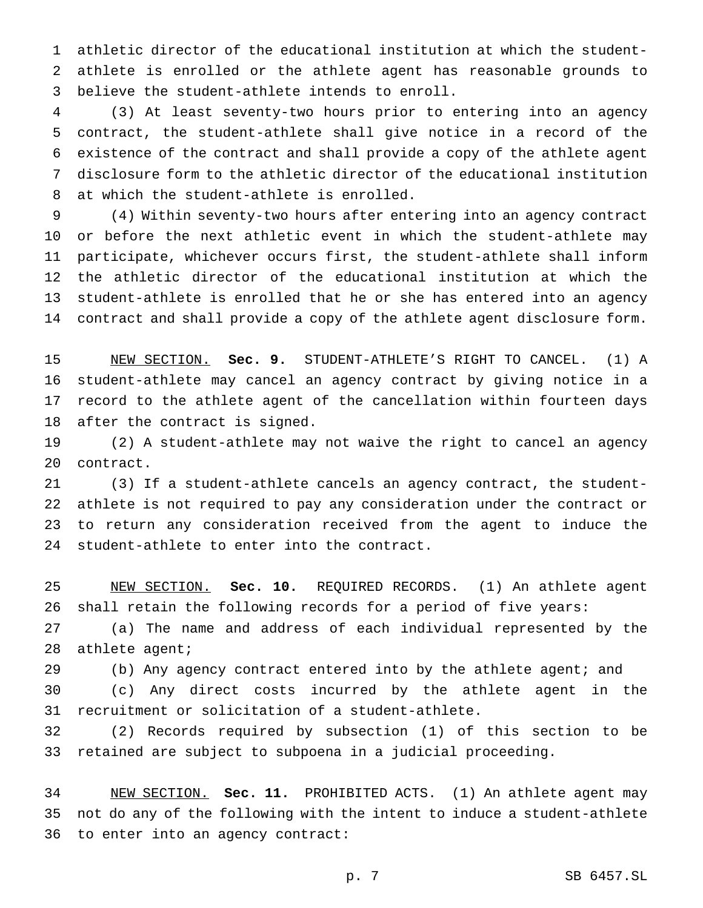athletic director of the educational institution at which the student- athlete is enrolled or the athlete agent has reasonable grounds to believe the student-athlete intends to enroll.

 (3) At least seventy-two hours prior to entering into an agency contract, the student-athlete shall give notice in a record of the existence of the contract and shall provide a copy of the athlete agent disclosure form to the athletic director of the educational institution at which the student-athlete is enrolled.

 (4) Within seventy-two hours after entering into an agency contract or before the next athletic event in which the student-athlete may participate, whichever occurs first, the student-athlete shall inform the athletic director of the educational institution at which the student-athlete is enrolled that he or she has entered into an agency contract and shall provide a copy of the athlete agent disclosure form.

 NEW SECTION. **Sec. 9.** STUDENT-ATHLETE'S RIGHT TO CANCEL. (1) A student-athlete may cancel an agency contract by giving notice in a record to the athlete agent of the cancellation within fourteen days after the contract is signed.

 (2) A student-athlete may not waive the right to cancel an agency contract.

 (3) If a student-athlete cancels an agency contract, the student- athlete is not required to pay any consideration under the contract or to return any consideration received from the agent to induce the student-athlete to enter into the contract.

 NEW SECTION. **Sec. 10.** REQUIRED RECORDS. (1) An athlete agent shall retain the following records for a period of five years:

 (a) The name and address of each individual represented by the athlete agent;

(b) Any agency contract entered into by the athlete agent; and

 (c) Any direct costs incurred by the athlete agent in the recruitment or solicitation of a student-athlete.

 (2) Records required by subsection (1) of this section to be retained are subject to subpoena in a judicial proceeding.

 NEW SECTION. **Sec. 11.** PROHIBITED ACTS. (1) An athlete agent may not do any of the following with the intent to induce a student-athlete to enter into an agency contract: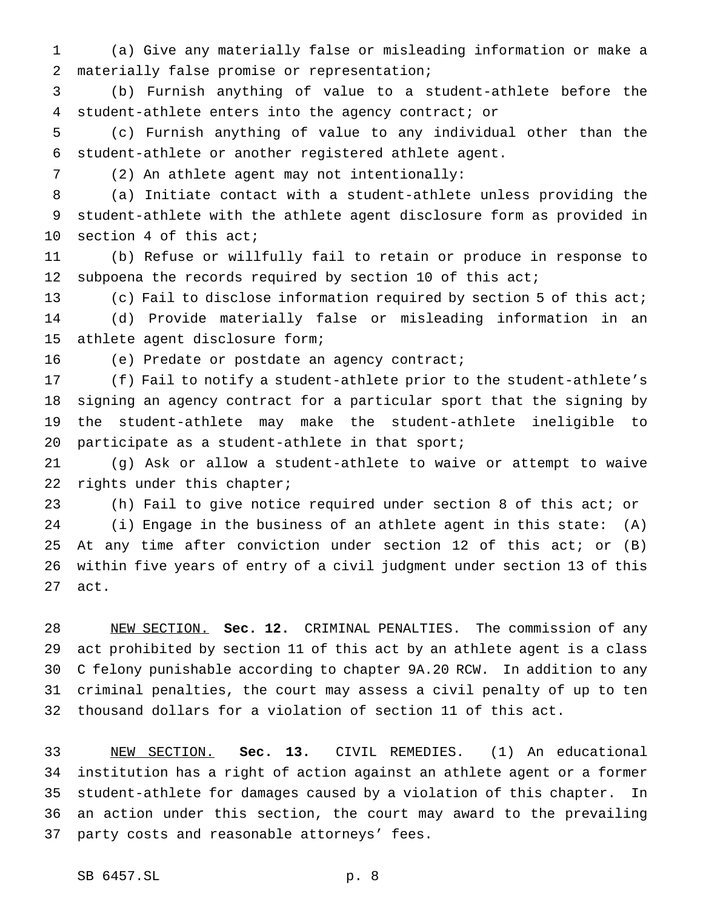(a) Give any materially false or misleading information or make a materially false promise or representation;

 (b) Furnish anything of value to a student-athlete before the student-athlete enters into the agency contract; or

 (c) Furnish anything of value to any individual other than the student-athlete or another registered athlete agent.

(2) An athlete agent may not intentionally:

 (a) Initiate contact with a student-athlete unless providing the student-athlete with the athlete agent disclosure form as provided in section 4 of this act;

 (b) Refuse or willfully fail to retain or produce in response to subpoena the records required by section 10 of this act;

 (c) Fail to disclose information required by section 5 of this act; (d) Provide materially false or misleading information in an athlete agent disclosure form;

(e) Predate or postdate an agency contract;

 (f) Fail to notify a student-athlete prior to the student-athlete's signing an agency contract for a particular sport that the signing by the student-athlete may make the student-athlete ineligible to participate as a student-athlete in that sport;

 (g) Ask or allow a student-athlete to waive or attempt to waive rights under this chapter;

 (h) Fail to give notice required under section 8 of this act; or (i) Engage in the business of an athlete agent in this state: (A) At any time after conviction under section 12 of this act; or (B) within five years of entry of a civil judgment under section 13 of this act.

 NEW SECTION. **Sec. 12.** CRIMINAL PENALTIES. The commission of any act prohibited by section 11 of this act by an athlete agent is a class C felony punishable according to chapter 9A.20 RCW. In addition to any criminal penalties, the court may assess a civil penalty of up to ten thousand dollars for a violation of section 11 of this act.

 NEW SECTION. **Sec. 13.** CIVIL REMEDIES. (1) An educational institution has a right of action against an athlete agent or a former student-athlete for damages caused by a violation of this chapter. In an action under this section, the court may award to the prevailing party costs and reasonable attorneys' fees.